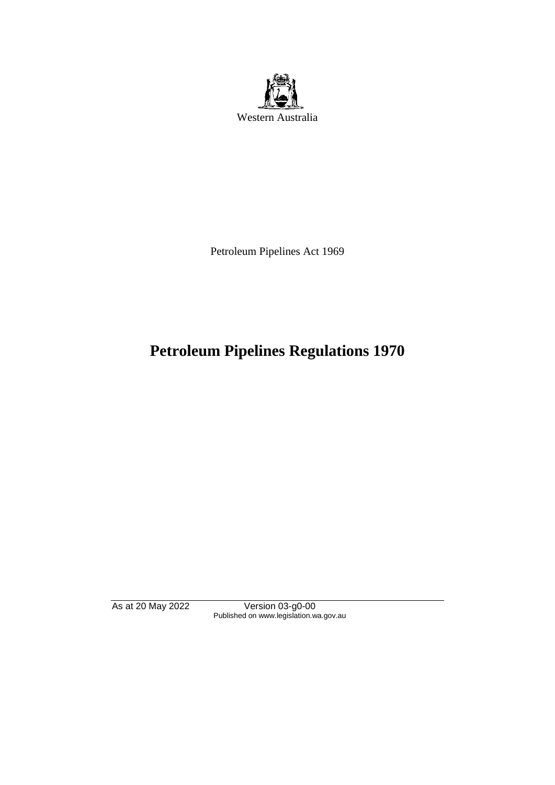

Petroleum Pipelines Act 1969

# **Petroleum Pipelines Regulations 1970**

As at 20 May 2022 Version 03-g0-00 Published on www.legislation.wa.gov.au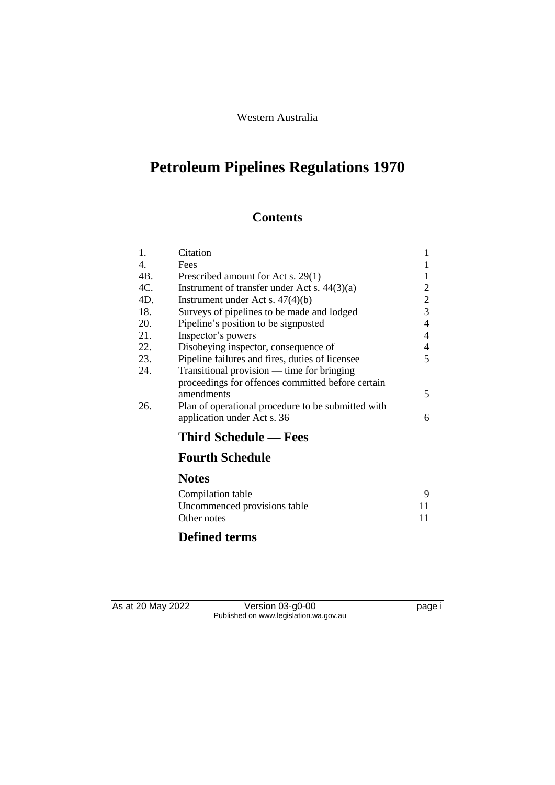#### Western Australia

# **Petroleum Pipelines Regulations 1970**

## **Contents**

| 1.               | Citation                                           | 1              |
|------------------|----------------------------------------------------|----------------|
| $\overline{4}$ . | Fees                                               | 1              |
| 4B.              | Prescribed amount for Act s. 29(1)                 | 1              |
| 4C.              | Instrument of transfer under Act s. $44(3)(a)$     | 2              |
| 4D.              | Instrument under Act s. $47(4)(b)$                 | $\overline{c}$ |
| 18.              | Surveys of pipelines to be made and lodged         | 3              |
| 20.              | Pipeline's position to be signposted               | $\overline{4}$ |
| 21.              | Inspector's powers                                 | 4              |
| 22.              | Disobeying inspector, consequence of               | 4              |
| 23.              | Pipeline failures and fires, duties of licensee    | 5              |
| 24.              | Transitional provision — time for bringing         |                |
|                  | proceedings for offences committed before certain  |                |
|                  | amendments                                         | 5              |
| 26.              | Plan of operational procedure to be submitted with |                |
|                  | application under Act s. 36                        | 6              |
|                  | <b>Third Schedule — Fees</b>                       |                |
|                  | <b>Fourth Schedule</b>                             |                |
|                  | <b>Notes</b>                                       |                |
|                  | Compilation table                                  | 9              |
|                  | Uncommenced provisions table                       | 11             |
|                  | Other notes                                        | 11             |
|                  |                                                    |                |

## **Defined terms**

As at 20 May 2022 Version 03-g0-00 page i Published on www.legislation.wa.gov.au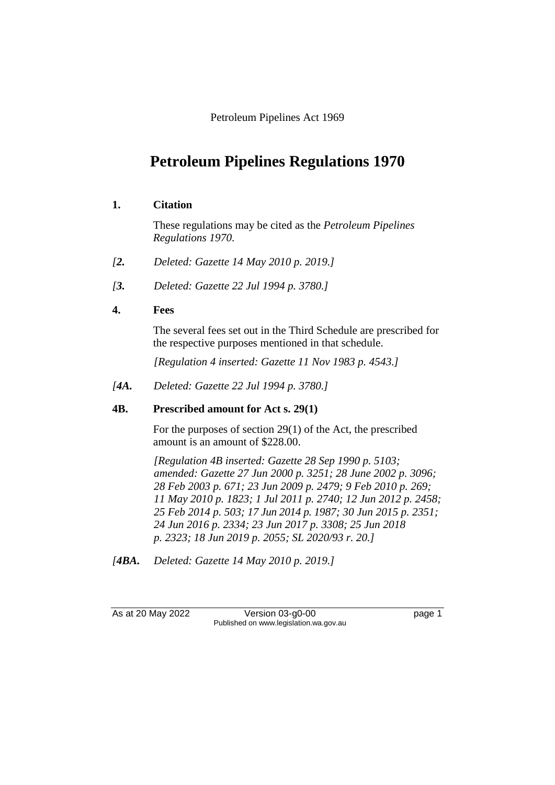Petroleum Pipelines Act 1969

# **Petroleum Pipelines Regulations 1970**

#### **1. Citation**

These regulations may be cited as the *Petroleum Pipelines Regulations 1970*.

- *[2. Deleted: Gazette 14 May 2010 p. 2019.]*
- *[3. Deleted: Gazette 22 Jul 1994 p. 3780.]*

#### **4. Fees**

The several fees set out in the Third Schedule are prescribed for the respective purposes mentioned in that schedule.

*[Regulation 4 inserted: Gazette 11 Nov 1983 p. 4543.]* 

*[4A. Deleted: Gazette 22 Jul 1994 p. 3780.]* 

#### **4B. Prescribed amount for Act s. 29(1)**

For the purposes of section 29(1) of the Act, the prescribed amount is an amount of \$228.00.

*[Regulation 4B inserted: Gazette 28 Sep 1990 p. 5103; amended: Gazette 27 Jun 2000 p. 3251; 28 June 2002 p. 3096; 28 Feb 2003 p. 671; 23 Jun 2009 p. 2479; 9 Feb 2010 p. 269; 11 May 2010 p. 1823; 1 Jul 2011 p. 2740; 12 Jun 2012 p. 2458; 25 Feb 2014 p. 503; 17 Jun 2014 p. 1987; 30 Jun 2015 p. 2351; 24 Jun 2016 p. 2334; 23 Jun 2017 p. 3308; 25 Jun 2018 p. 2323; 18 Jun 2019 p. 2055; SL 2020/93 r. 20.]* 

*[4BA. Deleted: Gazette 14 May 2010 p. 2019.]*

| As at 20 May 2022 | Version $03$ -g0-00                    | page 1 |
|-------------------|----------------------------------------|--------|
|                   | Published on www.legislation.wa.gov.au |        |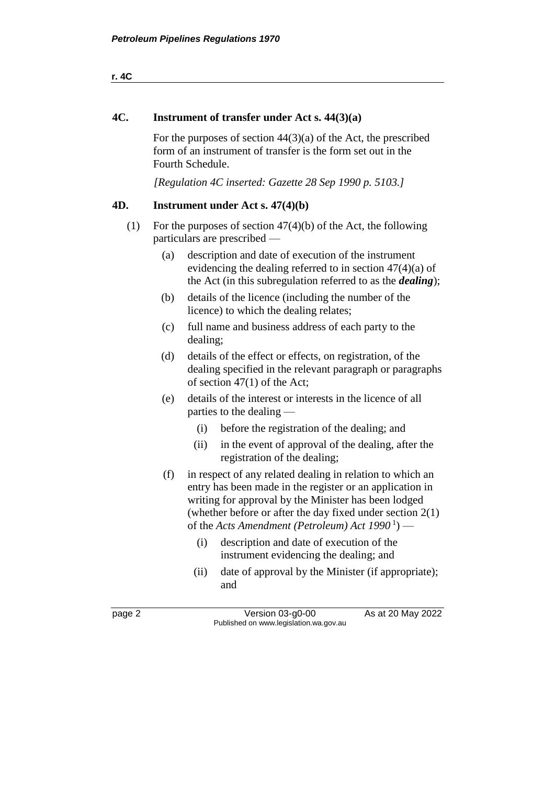#### **4C. Instrument of transfer under Act s. 44(3)(a)**

For the purposes of section  $44(3)(a)$  of the Act, the prescribed form of an instrument of transfer is the form set out in the Fourth Schedule.

*[Regulation 4C inserted: Gazette 28 Sep 1990 p. 5103.]* 

#### **4D. Instrument under Act s. 47(4)(b)**

- (1) For the purposes of section 47(4)(b) of the Act, the following particulars are prescribed —
	- (a) description and date of execution of the instrument evidencing the dealing referred to in section 47(4)(a) of the Act (in this subregulation referred to as the *dealing*);
	- (b) details of the licence (including the number of the licence) to which the dealing relates;
	- (c) full name and business address of each party to the dealing;
	- (d) details of the effect or effects, on registration, of the dealing specified in the relevant paragraph or paragraphs of section 47(1) of the Act;
	- (e) details of the interest or interests in the licence of all parties to the dealing —
		- (i) before the registration of the dealing; and
		- (ii) in the event of approval of the dealing, after the registration of the dealing;
	- (f) in respect of any related dealing in relation to which an entry has been made in the register or an application in writing for approval by the Minister has been lodged (whether before or after the day fixed under section 2(1) of the *Acts Amendment (Petroleum) Act* 1990<sup>1</sup>) —
		- (i) description and date of execution of the instrument evidencing the dealing; and
		- (ii) date of approval by the Minister (if appropriate); and

page 2 Version 03-g0-00 As at 20 May 2022 Published on www.legislation.wa.gov.au

**r. 4C**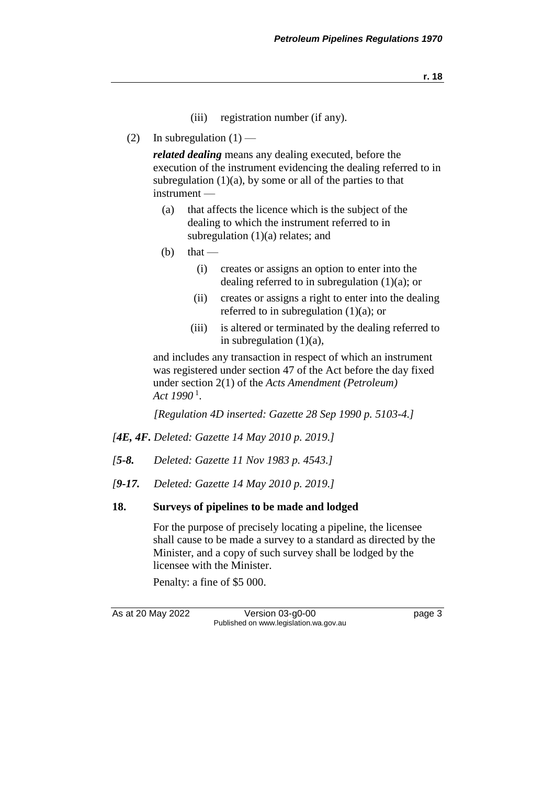**r. 18**

- (iii) registration number (if any).
- (2) In subregulation  $(1)$  —

*related dealing* means any dealing executed, before the execution of the instrument evidencing the dealing referred to in subregulation  $(1)(a)$ , by some or all of the parties to that instrument —

- (a) that affects the licence which is the subject of the dealing to which the instrument referred to in subregulation  $(1)(a)$  relates; and
- $(b)$  that
	- (i) creates or assigns an option to enter into the dealing referred to in subregulation  $(1)(a)$ ; or
	- (ii) creates or assigns a right to enter into the dealing referred to in subregulation  $(1)(a)$ ; or
	- (iii) is altered or terminated by the dealing referred to in subregulation  $(1)(a)$ ,

and includes any transaction in respect of which an instrument was registered under section 47 of the Act before the day fixed under section 2(1) of the *Acts Amendment (Petroleum) Act 1990* <sup>1</sup> .

*[Regulation 4D inserted: Gazette 28 Sep 1990 p. 5103-4.]* 

- *[4E, 4F. Deleted: Gazette 14 May 2010 p. 2019.]*
- *[5-8. Deleted: Gazette 11 Nov 1983 p. 4543.]*
- *[9-17. Deleted: Gazette 14 May 2010 p. 2019.]*

#### **18. Surveys of pipelines to be made and lodged**

For the purpose of precisely locating a pipeline, the licensee shall cause to be made a survey to a standard as directed by the Minister, and a copy of such survey shall be lodged by the licensee with the Minister.

Penalty: a fine of \$5 000.

As at 20 May 2022 Version 03-g0-00 Page 3 Published on www.legislation.wa.gov.au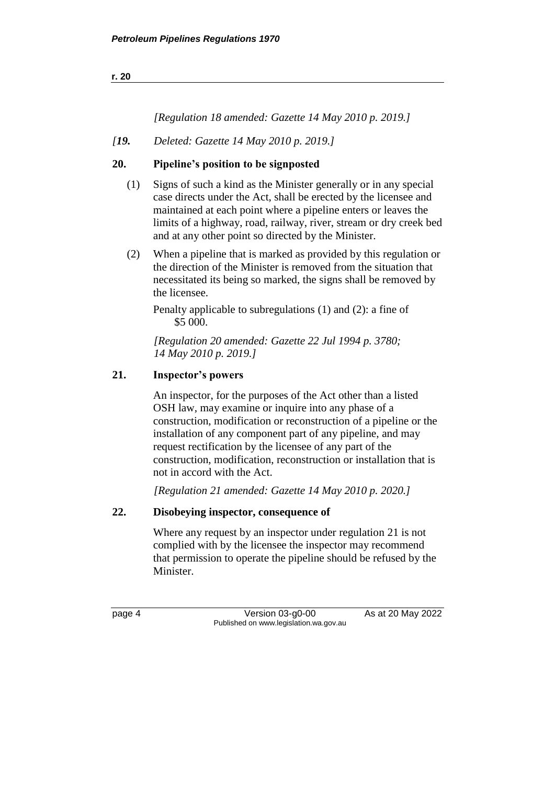## *[Regulation 18 amended: Gazette 14 May 2010 p. 2019.]*

*[19. Deleted: Gazette 14 May 2010 p. 2019.]*

#### **20. Pipeline's position to be signposted**

- (1) Signs of such a kind as the Minister generally or in any special case directs under the Act, shall be erected by the licensee and maintained at each point where a pipeline enters or leaves the limits of a highway, road, railway, river, stream or dry creek bed and at any other point so directed by the Minister.
- (2) When a pipeline that is marked as provided by this regulation or the direction of the Minister is removed from the situation that necessitated its being so marked, the signs shall be removed by the licensee.

Penalty applicable to subregulations (1) and (2): a fine of \$5 000.

*[Regulation 20 amended: Gazette 22 Jul 1994 p. 3780; 14 May 2010 p. 2019.]* 

#### **21. Inspector's powers**

An inspector, for the purposes of the Act other than a listed OSH law, may examine or inquire into any phase of a construction, modification or reconstruction of a pipeline or the installation of any component part of any pipeline, and may request rectification by the licensee of any part of the construction, modification, reconstruction or installation that is not in accord with the Act.

*[Regulation 21 amended: Gazette 14 May 2010 p. 2020.]*

#### **22. Disobeying inspector, consequence of**

Where any request by an inspector under regulation 21 is not complied with by the licensee the inspector may recommend that permission to operate the pipeline should be refused by the Minister.

page 4 Version 03-g0-00 As at 20 May 2022 Published on www.legislation.wa.gov.au

**r. 20**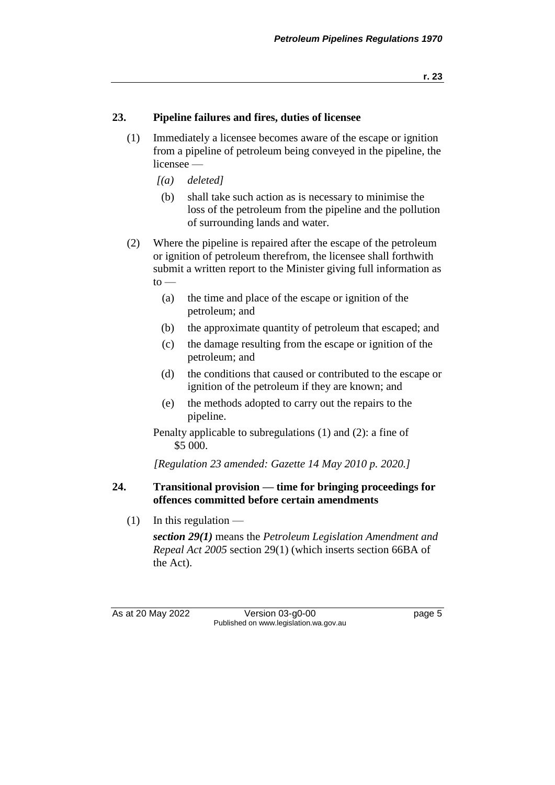#### **23. Pipeline failures and fires, duties of licensee**

- (1) Immediately a licensee becomes aware of the escape or ignition from a pipeline of petroleum being conveyed in the pipeline, the licensee —
	- *[(a) deleted]*
	- (b) shall take such action as is necessary to minimise the loss of the petroleum from the pipeline and the pollution of surrounding lands and water.
- (2) Where the pipeline is repaired after the escape of the petroleum or ignition of petroleum therefrom, the licensee shall forthwith submit a written report to the Minister giving full information as  $to -$ 
	- (a) the time and place of the escape or ignition of the petroleum; and
	- (b) the approximate quantity of petroleum that escaped; and
	- (c) the damage resulting from the escape or ignition of the petroleum; and
	- (d) the conditions that caused or contributed to the escape or ignition of the petroleum if they are known; and
	- (e) the methods adopted to carry out the repairs to the pipeline.

Penalty applicable to subregulations (1) and (2): a fine of \$5 000.

*[Regulation 23 amended: Gazette 14 May 2010 p. 2020.]*

#### **24. Transitional provision — time for bringing proceedings for offences committed before certain amendments**

 $(1)$  In this regulation —

*section 29(1)* means the *Petroleum Legislation Amendment and Repeal Act 2005* section 29(1) (which inserts section 66BA of the Act).

As at 20 May 2022 Version 03-g0-00 Page 5 Published on www.legislation.wa.gov.au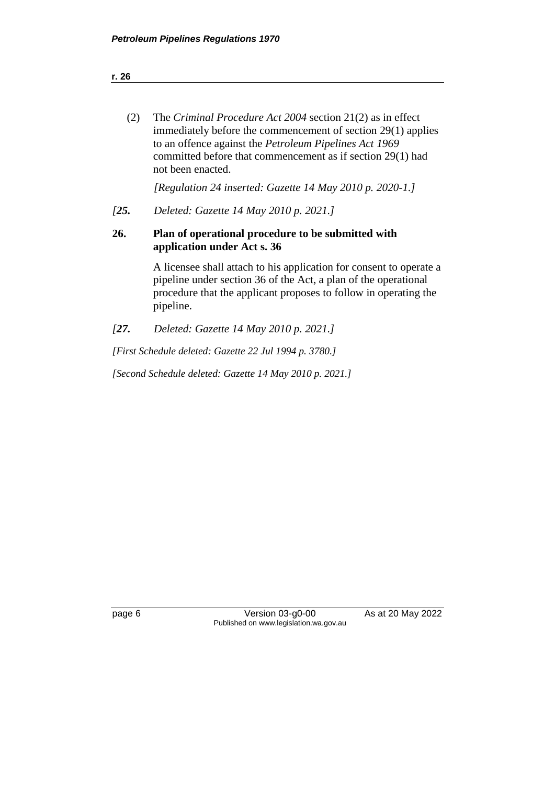| (2) | The Criminal Procedure Act 2004 section 21(2) as in effect    |
|-----|---------------------------------------------------------------|
|     | immediately before the commencement of section 29(1) applies  |
|     | to an offence against the <i>Petroleum Pipelines Act 1969</i> |
|     | committed before that commencement as if section 29(1) had    |
|     | not been enacted.                                             |

*[Regulation 24 inserted: Gazette 14 May 2010 p. 2020-1.]*

*[25. Deleted: Gazette 14 May 2010 p. 2021.]*

#### **26. Plan of operational procedure to be submitted with application under Act s. 36**

A licensee shall attach to his application for consent to operate a pipeline under section 36 of the Act, a plan of the operational procedure that the applicant proposes to follow in operating the pipeline.

*[27. Deleted: Gazette 14 May 2010 p. 2021.]*

*[First Schedule deleted: Gazette 22 Jul 1994 p. 3780.]*

*[Second Schedule deleted: Gazette 14 May 2010 p. 2021.]*

page 6 Version 03-g0-00 As at 20 May 2022 Published on www.legislation.wa.gov.au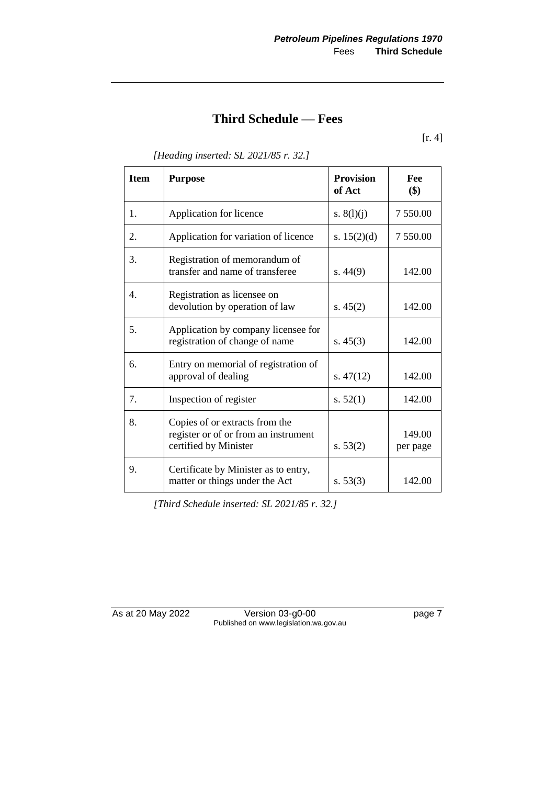## **Third Schedule — Fees**

[r. 4]

| <b>Item</b>    | <b>Purpose</b>                                                                                  | <b>Provision</b><br>of Act | Fee<br>\$)         |
|----------------|-------------------------------------------------------------------------------------------------|----------------------------|--------------------|
| $\mathbf{1}$ . | Application for licence                                                                         | s. $8(l)(j)$               | 7 550.00           |
| 2.             | Application for variation of licence                                                            | s. $15(2)(d)$              | 7 550.00           |
| 3.             | Registration of memorandum of<br>transfer and name of transferee                                | s.44(9)                    | 142.00             |
| 4.             | Registration as licensee on<br>devolution by operation of law                                   | s. $45(2)$                 | 142.00             |
| 5.             | Application by company licensee for<br>registration of change of name                           | s. $45(3)$                 | 142.00             |
| 6.             | Entry on memorial of registration of<br>approval of dealing                                     | s. $47(12)$                | 142.00             |
| 7.             | Inspection of register                                                                          | s. $52(1)$                 | 142.00             |
| 8.             | Copies of or extracts from the<br>register or of or from an instrument<br>certified by Minister | s. 53(2)                   | 149.00<br>per page |
| 9.             | Certificate by Minister as to entry,<br>matter or things under the Act                          | s. 53(3)                   | 142.00             |

*[Heading inserted: SL 2021/85 r. 32.]*

*[Third Schedule inserted: SL 2021/85 r. 32.]*

As at 20 May 2022 Version 03-g0-00 page 7 Published on www.legislation.wa.gov.au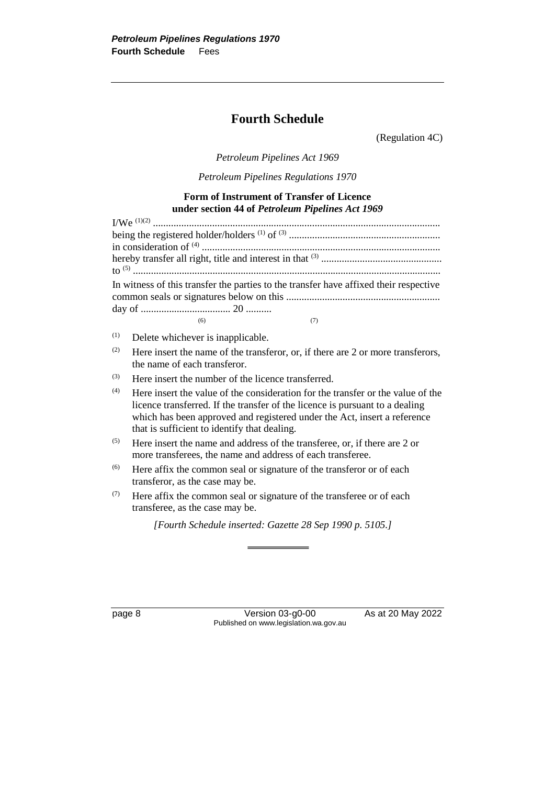## **Fourth Schedule**

(Regulation 4C)

*Petroleum Pipelines Act 1969*

*Petroleum Pipelines Regulations 1970*

#### **Form of Instrument of Transfer of Licence under section 44 of** *Petroleum Pipelines Act 1969*

|     |                                   | In witness of this transfer the parties to the transfer have affixed their respective |
|-----|-----------------------------------|---------------------------------------------------------------------------------------|
|     | (6)                               | (7)                                                                                   |
| (1) | Delete whichever is inapplicable. |                                                                                       |
| (2) | the name of each transferor.      | Here insert the name of the transferor, or, if there are 2 or more transferors,       |
| (2) |                                   |                                                                                       |

- (3) Here insert the number of the licence transferred.
- $(4)$  Here insert the value of the consideration for the transfer or the value of the licence transferred. If the transfer of the licence is pursuant to a dealing which has been approved and registered under the Act, insert a reference that is sufficient to identify that dealing.
- $(5)$  Here insert the name and address of the transferee, or, if there are 2 or more transferees, the name and address of each transferee.
- (6) Here affix the common seal or signature of the transferor or of each transferor, as the case may be.
- $(7)$  Here affix the common seal or signature of the transferee or of each transferee, as the case may be.

*[Fourth Schedule inserted: Gazette 28 Sep 1990 p. 5105.]*

page 8 Version 03-g0-00 As at 20 May 2022 Published on www.legislation.wa.gov.au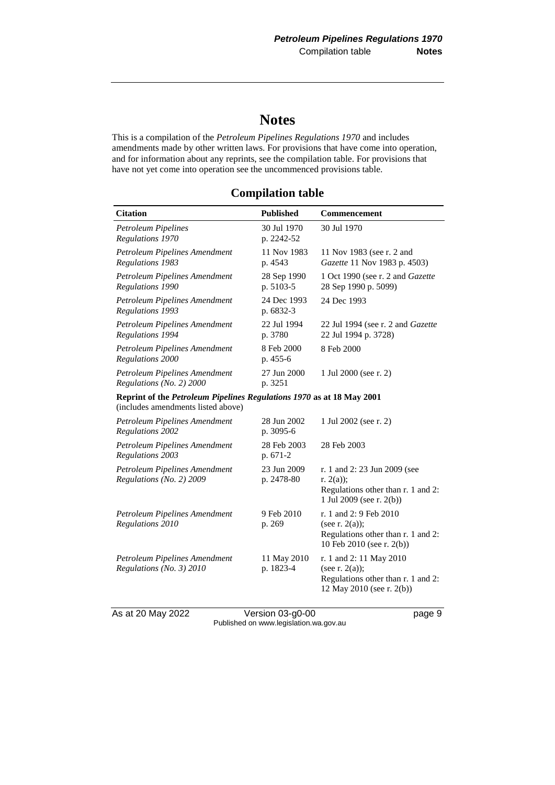## **Notes**

This is a compilation of the *Petroleum Pipelines Regulations 1970* and includes amendments made by other written laws. For provisions that have come into operation, and for information about any reprints, see the compilation table. For provisions that have not yet come into operation see the uncommenced provisions table.

### **Compilation table**

| <b>Citation</b>                                                                                             | <b>Published</b>          | Commencement                                                                                                     |
|-------------------------------------------------------------------------------------------------------------|---------------------------|------------------------------------------------------------------------------------------------------------------|
| <b>Petroleum Pipelines</b><br>Regulations 1970                                                              | 30 Jul 1970<br>p. 2242-52 | 30 Jul 1970                                                                                                      |
| Petroleum Pipelines Amendment<br>Regulations 1983                                                           | 11 Nov 1983<br>p. 4543    | 11 Nov 1983 (see r. 2 and<br>Gazette 11 Nov 1983 p. 4503)                                                        |
| Petroleum Pipelines Amendment<br>Regulations 1990                                                           | 28 Sep 1990<br>p. 5103-5  | 1 Oct 1990 (see r. 2 and Gazette<br>28 Sep 1990 p. 5099)                                                         |
| Petroleum Pipelines Amendment<br>Regulations 1993                                                           | 24 Dec 1993<br>p. 6832-3  | 24 Dec 1993                                                                                                      |
| Petroleum Pipelines Amendment<br>Regulations 1994                                                           | 22 Jul 1994<br>p. 3780    | 22 Jul 1994 (see r. 2 and Gazette<br>22 Jul 1994 p. 3728)                                                        |
| Petroleum Pipelines Amendment<br>Regulations 2000                                                           | 8 Feb 2000<br>p. 455-6    | 8 Feb 2000                                                                                                       |
| Petroleum Pipelines Amendment<br>Regulations (No. 2) 2000                                                   | 27 Jun 2000<br>p. 3251    | 1 Jul 2000 (see r. 2)                                                                                            |
| Reprint of the Petroleum Pipelines Regulations 1970 as at 18 May 2001<br>(includes amendments listed above) |                           |                                                                                                                  |
| Petroleum Pipelines Amendment<br>Regulations 2002                                                           | 28 Jun 2002<br>p. 3095-6  | 1 Jul 2002 (see r. 2)                                                                                            |
| Petroleum Pipelines Amendment<br>Regulations 2003                                                           | 28 Feb 2003<br>p. 671-2   | 28 Feb 2003                                                                                                      |
| Petroleum Pipelines Amendment<br>Regulations (No. 2) 2009                                                   | 23 Jun 2009<br>p. 2478-80 | r. 1 and 2: 23 Jun 2009 (see<br>r. $2(a)$ ;<br>Regulations other than r. 1 and 2:<br>1 Jul 2009 (see r. $2(b)$ ) |
| Petroleum Pipelines Amendment<br>Regulations 2010                                                           | 9 Feb 2010<br>p. 269      | r. 1 and 2: 9 Feb 2010<br>(see r. $2(a)$ );<br>Regulations other than r. 1 and 2:<br>10 Feb 2010 (see r. 2(b))   |
| Petroleum Pipelines Amendment<br>Regulations (No. 3) 2010                                                   | 11 May 2010<br>p. 1823-4  | r. 1 and 2: 11 May 2010<br>(see r. $2(a)$ );<br>Regulations other than r. 1 and 2:<br>12 May 2010 (see r. 2(b))  |

As at 20 May 2022 Version 03-g0-00 Page 9 Published on www.legislation.wa.gov.au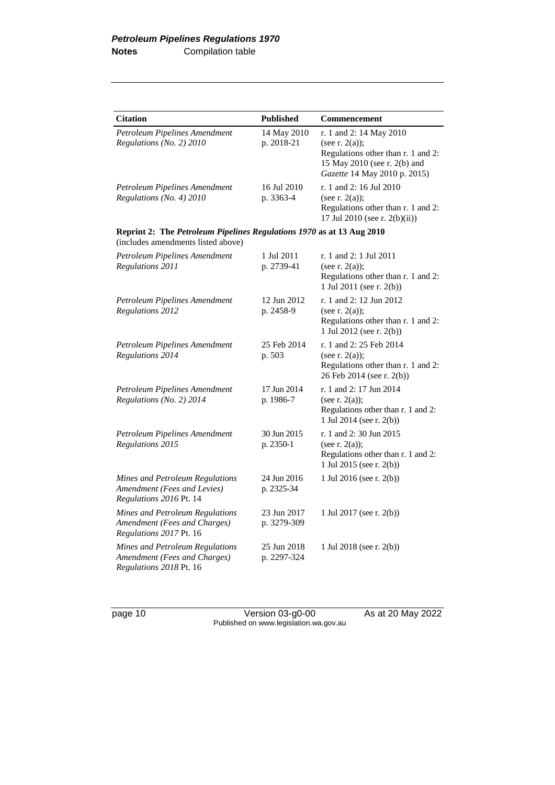| <b>Citation</b>                                                                                             | <b>Published</b>           | Commencement                                                                                                                                       |
|-------------------------------------------------------------------------------------------------------------|----------------------------|----------------------------------------------------------------------------------------------------------------------------------------------------|
| Petroleum Pipelines Amendment<br>Regulations (No. 2) 2010                                                   | 14 May 2010<br>p. 2018-21  | r. 1 and 2: 14 May 2010<br>(see r. $2(a)$ );<br>Regulations other than r. 1 and 2:<br>15 May 2010 (see r. 2(b) and<br>Gazette 14 May 2010 p. 2015) |
| Petroleum Pipelines Amendment<br>Regulations (No. 4) 2010                                                   | 16 Jul 2010<br>p. 3363-4   | r. 1 and 2: 16 Jul 2010<br>(see r. $2(a)$ );<br>Regulations other than r. 1 and 2:<br>17 Jul 2010 (see r. 2(b)(ii))                                |
| Reprint 2: The Petroleum Pipelines Regulations 1970 as at 13 Aug 2010<br>(includes amendments listed above) |                            |                                                                                                                                                    |
| Petroleum Pipelines Amendment<br>Regulations 2011                                                           | 1 Jul 2011<br>p. 2739-41   | r. 1 and 2: 1 Jul 2011<br>(see r. $2(a)$ );<br>Regulations other than r. 1 and 2:<br>1 Jul 2011 (see r. 2(b))                                      |
| Petroleum Pipelines Amendment<br>Regulations 2012                                                           | 12 Jun 2012<br>p. 2458-9   | r. 1 and 2: 12 Jun 2012<br>(see r. $2(a)$ );<br>Regulations other than r. 1 and 2:<br>1 Jul 2012 (see r. 2(b))                                     |
| Petroleum Pipelines Amendment<br>Regulations 2014                                                           | 25 Feb 2014<br>p. 503      | r. 1 and 2:25 Feb 2014<br>(see r. $2(a)$ );<br>Regulations other than r. 1 and 2:<br>26 Feb 2014 (see r. 2(b))                                     |
| Petroleum Pipelines Amendment<br>Regulations (No. 2) 2014                                                   | 17 Jun 2014<br>p. 1986-7   | r. 1 and 2: 17 Jun 2014<br>(see r. $2(a)$ );<br>Regulations other than r. 1 and 2:<br>1 Jul 2014 (see r. 2(b))                                     |
| Petroleum Pipelines Amendment<br>Regulations 2015                                                           | 30 Jun 2015<br>p. 2350-1   | r. 1 and 2:30 Jun 2015<br>(see r. $2(a)$ );<br>Regulations other than r. 1 and 2:<br>1 Jul 2015 (see r. 2(b))                                      |
| Mines and Petroleum Regulations<br>Amendment (Fees and Levies)<br>Regulations 2016 Pt. 14                   | 24 Jun 2016<br>p. 2325-34  | 1 Jul 2016 (see r. 2(b))                                                                                                                           |
| Mines and Petroleum Regulations<br>Amendment (Fees and Charges)<br>Regulations 2017 Pt. 16                  | 23 Jun 2017<br>p. 3279-309 | 1 Jul 2017 (see r. 2(b))                                                                                                                           |
| Mines and Petroleum Regulations<br>Amendment (Fees and Charges)<br>Regulations 2018 Pt. 16                  | 25 Jun 2018<br>p. 2297-324 | 1 Jul 2018 (see r. 2(b))                                                                                                                           |

page 10 Version 03-g0-00 As at 20 May 2022 Published on www.legislation.wa.gov.au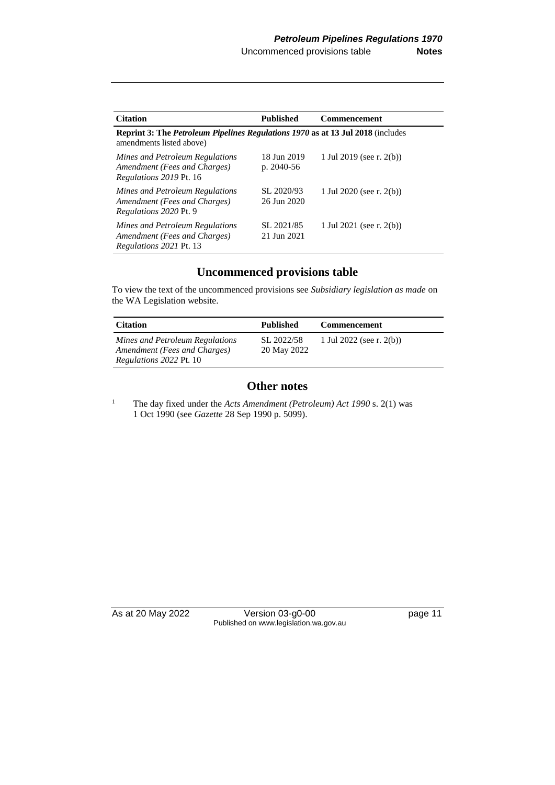| <b>Citation</b>                                                                                                    | <b>Published</b>            | <b>Commencement</b>         |  |
|--------------------------------------------------------------------------------------------------------------------|-----------------------------|-----------------------------|--|
| <b>Reprint 3: The Petroleum Pipelines Regulations 1970 as at 13 Jul 2018</b> (includes<br>amendments listed above) |                             |                             |  |
| Mines and Petroleum Regulations<br>Amendment (Fees and Charges)<br><i>Regulations 2019 Pt. 16</i>                  | 18 Jun 2019<br>p. $2040-56$ | 1 Jul 2019 (see r. 2(b))    |  |
| Mines and Petroleum Regulations<br>Amendment (Fees and Charges)<br>Regulations 2020 Pt. 9                          | SL 2020/93<br>26 Jun 2020   | 1 Jul 2020 (see r. $2(b)$ ) |  |
| Mines and Petroleum Regulations<br>Amendment (Fees and Charges)<br><i>Regulations 2021 Pt. 13</i>                  | SL 2021/85<br>21 Jun 2021   | 1 Jul 2021 (see r. $2(b)$ ) |  |

### **Uncommenced provisions table**

To view the text of the uncommenced provisions see *Subsidiary legislation as made* on the WA Legislation website.

| <b>Citation</b>                                                                                   | <b>Published</b>          | <b>Commencement</b>         |
|---------------------------------------------------------------------------------------------------|---------------------------|-----------------------------|
| Mines and Petroleum Regulations<br>Amendment (Fees and Charges)<br><i>Regulations 2022 Pt. 10</i> | SL 2022/58<br>20 May 2022 | 1 Jul 2022 (see r. $2(b)$ ) |

### **Other notes**

<sup>1</sup> The day fixed under the *Acts Amendment (Petroleum) Act* 1990 s. 2(1) was 1 Oct 1990 (see *Gazette* 28 Sep 1990 p. 5099).

As at 20 May 2022 Version 03-g0-00 page 11 Published on www.legislation.wa.gov.au